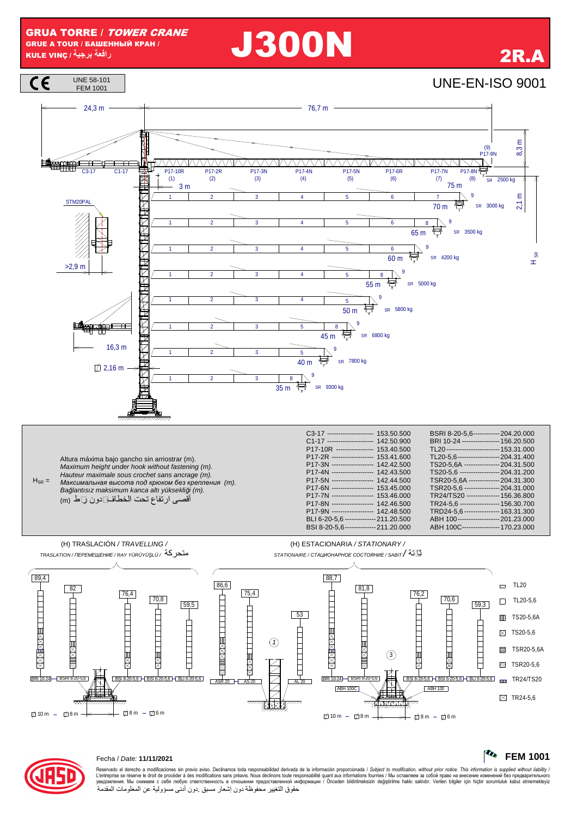GRUA TORRE / TOWER CRANE GRUE A TOUR / БАШЕННЫЙ КРАН / **GRUA TORRE** / *TOWER CRANE*<br>GRUE A TOUR / БАШЕННЫЙ КРАН / **2000N 2P.A.**<br>CILE VINÇ / أفعة برجية )



Reservado el derecho a modificaciones sin previo aviso. Declinamos toda responsabilidad derivada de la información proporcionada / Subject to modification, without prior notice. This information is supplied without liabili L'entreprise se réserve le droit de procéder à des modifications sans préavis. Nous déclinons toure exponsabilité quant aux informations fournies / Мы оставляем за собой право на внесение изменений без предварительного<br>ув حقوق التغيير محفوظة دون إشعار مسبق .دون أدنى مسؤولية عن المعلومات المقدمة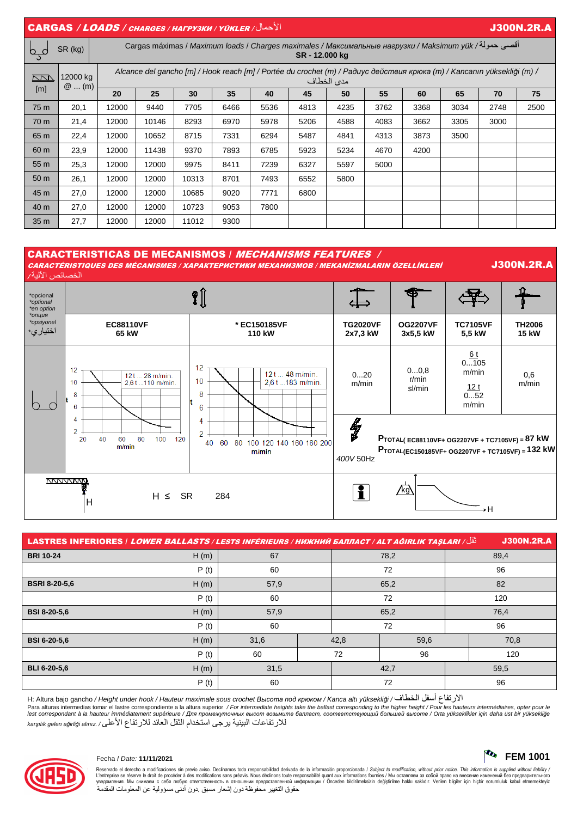| $  \overline{ \textsf{CARGAS} } / \textsf{LOADS} / \textsf{CHARGES} / \textsf{HATPYSKM} / \textsf{YÜKLER} /   \rangle$<br><b>J300N.2R.A</b> |                     |                                                                                                                                       |       |       |      |      |      |      |      |      |      |      |      |
|---------------------------------------------------------------------------------------------------------------------------------------------|---------------------|---------------------------------------------------------------------------------------------------------------------------------------|-------|-------|------|------|------|------|------|------|------|------|------|
| $\sigma_{\rm s}$                                                                                                                            | SR (kg)             | أقصى حمولة/ Cargas máximas / Maximum loads / Charges maximales / Максимальные нагрузки / Maksimum yük<br>SR-12.000 kg                 |       |       |      |      |      |      |      |      |      |      |      |
| <u>KN </u><br>[m]                                                                                                                           | 12000 kg<br>$@$ (m) | Alcance del gancho [m] / Hook reach [m] / Portée du crochet (m) / Paðuyc действия крюка (m) / Kancanın yüksekliği (m) /<br>مدى الخطاف |       |       |      |      |      |      |      |      |      |      |      |
|                                                                                                                                             |                     | 20                                                                                                                                    | 25    | 30    | 35   | 40   | 45   | 50   | 55   | 60   | 65   | 70   | 75   |
| 75 m                                                                                                                                        | 20,1                | 12000                                                                                                                                 | 9440  | 7705  | 6466 | 5536 | 4813 | 4235 | 3762 | 3368 | 3034 | 2748 | 2500 |
| 70 m                                                                                                                                        | 21,4                | 12000                                                                                                                                 | 10146 | 8293  | 6970 | 5978 | 5206 | 4588 | 4083 | 3662 | 3305 | 3000 |      |
| 65 m                                                                                                                                        | 22,4                | 12000                                                                                                                                 | 10652 | 8715  | 7331 | 6294 | 5487 | 4841 | 4313 | 3873 | 3500 |      |      |
| 60 m                                                                                                                                        | 23,9                | 12000                                                                                                                                 | 11438 | 9370  | 7893 | 6785 | 5923 | 5234 | 4670 | 4200 |      |      |      |
| 55 m                                                                                                                                        | 25,3                | 12000                                                                                                                                 | 12000 | 9975  | 8411 | 7239 | 6327 | 5597 | 5000 |      |      |      |      |
| 50 m                                                                                                                                        | 26,1                | 12000                                                                                                                                 | 12000 | 10313 | 8701 | 7493 | 6552 | 5800 |      |      |      |      |      |
| 45 m                                                                                                                                        | 27,0                | 12000                                                                                                                                 | 12000 | 10685 | 9020 | 7771 | 6800 |      |      |      |      |      |      |
| 40 m                                                                                                                                        | 27,0                | 12000                                                                                                                                 | 12000 | 10723 | 9053 | 7800 |      |      |      |      |      |      |      |
| 35 m                                                                                                                                        | 27,7                | 12000                                                                                                                                 | 12000 | 11012 | 9300 |      |      |      |      |      |      |      |      |

### CARACTERISTICAS DE MECANISMOS / MECHANISMS FEATURES / CARACTÉRISTIQUES DES MÉCANISMES / ХАРАКТЕРИСТИКИ МЕХАНИЗМОВ / MEKANİZMALARIN ÖZELLİKLERİ J300N.2R.A الخصائص الآلية /  $\sqrt{\ }$ \*opcional ⋠ \*optional  $\Rightarrow$ \*en option \**опция* \*اختياري **EC88110VF**  \*opsiyonel **\* EC150185VF TG2020VF OG2207VF TC7105VF TH2006 65 kW 110 kW 2x7,3 kW 3x5,5 kW 5,5 kW 15 kW**   $6<sub>t</sub>$  $0...105$  $12$  $12$ 0...0,8 m/min  $28 m/min$ 12t ... 48 m/min. 0...20 0,6  $12t$ r/min  $10$  $10$ 2.61 183 m/min 2.6 f 110 m/min m/min m/min  $12<sub>t</sub>$ sl/min  $\mathbf{g}$ 8 0...52 b o  $6\phantom{a}$ m/min  $6\phantom{a}6$  $\overline{4}$  $\overline{4}$ ly<br>M  $\overline{2}$  $\overline{2}$  $\overline{20}$  $40$ 60 80 100  $120$ **PTOTAL( EC88110VF+ OG2207VF + TC7105VF) = 87 kW**  40 60 80 100 120 140 160 180 200  $m/min$ **PTOTAL(EC150185VF+ OG2207VF + TC7105VF) = 132 kW**  $m/min$ 400V 50Hz **NVVVVVVV**  $H \leq SR \qquad 284$  if  $\boxed{?}$  $\sqrt{k}$ g H  $\rightarrow$ H

| نْقْل/ LASTRES INFERIORES   LOWER BALLASTS / LESTS INFÉRIEURS / НИЖНИЙ БАЛЛАСТ / ALT AĞIRLIK TAŞLARI |      |      |  |      |      |      | <b>J300N.2R.A</b> |  |
|------------------------------------------------------------------------------------------------------|------|------|--|------|------|------|-------------------|--|
| <b>BRI 10-24</b>                                                                                     | H(m) | 67   |  | 78,2 |      | 89,4 |                   |  |
|                                                                                                      | P(t) | 60   |  |      | 72   | 96   |                   |  |
| <b>BSRI 8-20-5,6</b>                                                                                 | H(m) | 57,9 |  | 65,2 |      | 82   |                   |  |
|                                                                                                      | P(t) | 60   |  | 72   |      | 120  |                   |  |
| <b>BSI 8-20-5.6</b>                                                                                  | H(m) | 57,9 |  | 65,2 |      | 76,4 |                   |  |
|                                                                                                      | P(t) | 60   |  |      | 72   |      | 96                |  |
| <b>BSI 6-20-5.6</b>                                                                                  | H(m) | 31,6 |  | 42,8 | 59,6 |      | 70,8              |  |
|                                                                                                      | P(t) | 60   |  | 72   | 96   |      | 120               |  |
| <b>BLI 6-20-5,6</b>                                                                                  | H(m) | 31,5 |  | 42,7 |      |      | 59,5              |  |
|                                                                                                      | P(t) | 60   |  |      | 72   |      | 96                |  |

H: Altura bajo gancho / Height under hook / Hauteur maximale sous crochet *Высота под крюком* / Kanca altı yüksekli*ğ*i / الخطاف أسفل الارتفاع Para alturas intermedias tomar el lastre correspondiente a la altura superior / For intermediate heights take the ballast corresponding to the higher height / Pour les hauteurs intermédiaires, opter pour le<br>lest correspon للارتفاعات البينية يرجى استخدام الثقل العائد للارتفاع الأعلى / .alınız a*ğ*irli*ğ*i gelen kar*ş*ılık



Reservado el derecho a modificaciones sin previo aviso. Declinamos toda responsabilidad derivada de la información proporcionada / Subject to modification, without prior notice. This information is supplied without liabili L'entreprise se réserve le droit de procéder à des modifications sans préavis. Nous déclinons toure exponsabilité quant aux informations fournies / Мы оставляем за собой право на внесение изменений без предварительного<br>ув حقوق التغيير محفوظة دون إشعار مسبق .دون أدنى مسؤولية عن المعلومات المقدمة

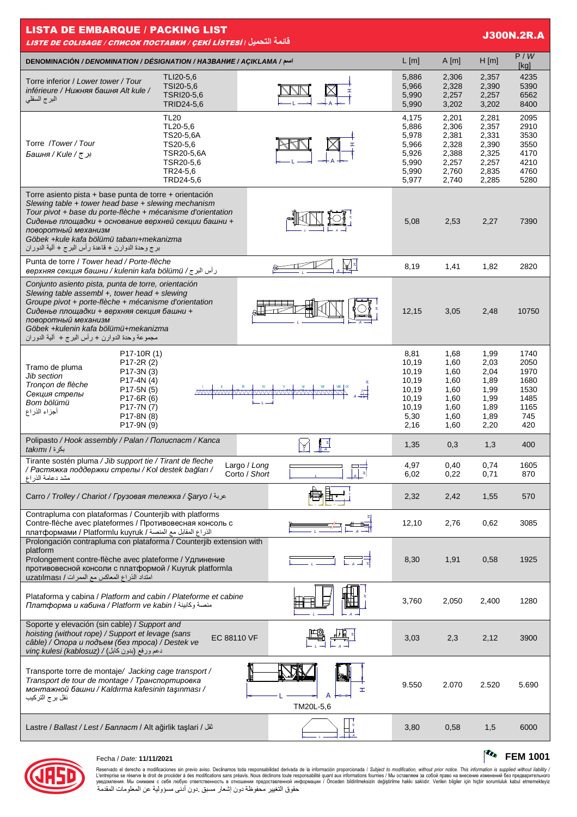| <b>LISTA DE EMBARQUE / PACKING LIST</b><br><b>J300N.2R.A</b><br>قائمة التحميل <sub> </sub> LISTE DE COLISAGE / СПИСОК ПОСТАВКИ / <u>СЕКІ LISTESI </u>                                                                                                                                                                                                        |                                                                                                      |                               |                                                                            |                                                                      |                                                                      |                                                                    |  |  |  |
|--------------------------------------------------------------------------------------------------------------------------------------------------------------------------------------------------------------------------------------------------------------------------------------------------------------------------------------------------------------|------------------------------------------------------------------------------------------------------|-------------------------------|----------------------------------------------------------------------------|----------------------------------------------------------------------|----------------------------------------------------------------------|--------------------------------------------------------------------|--|--|--|
| اسم/ DENOMINACIÓN / DENOMINATION / DÉSIGNATION / HA3BAHUE / AÇIKLAMA                                                                                                                                                                                                                                                                                         | $L$ [m]                                                                                              | A[m]                          | H[m]                                                                       | P/W<br>[kg]                                                          |                                                                      |                                                                    |  |  |  |
| Torre inferior / Lower tower / Tour<br>inférieure / Нижняя башня Alt kule /<br>البرج السفلي                                                                                                                                                                                                                                                                  | TLI20-5,6<br>TSI20-5,6<br>TSRI20-5,6<br>TRID24-5,6                                                   |                               | 5,886<br>5,966<br>5,990<br>5,990                                           | 2,306<br>2,328<br>2,257<br>3,202                                     | 2,357<br>2,390<br>2,257<br>3,202                                     | 4235<br>5390<br>6562<br>8400                                       |  |  |  |
| Torre /Tower/Tour<br>برج/ Башня / Kule /                                                                                                                                                                                                                                                                                                                     | <b>TL20</b><br>TL20-5.6<br>TS20-5,6A<br>TS20-5,6<br>TSR20-5,6A<br>TSR20-5,6<br>TR24-5,6<br>TRD24-5,6 |                               | 4,175<br>5,886<br>5,978<br>5,966<br>5,926<br>5,990<br>5,990<br>5,977       | 2,201<br>2,306<br>2,381<br>2,328<br>2,388<br>2,257<br>2,760<br>2,740 | 2,281<br>2,357<br>2,331<br>2,390<br>2,325<br>2,257<br>2,835<br>2,285 | 2095<br>2910<br>3530<br>3550<br>4170<br>4210<br>4760<br>5280       |  |  |  |
| Torre asiento pista + base punta de torre + orientación<br>Slewing table + tower head base + slewing mechanism<br>Tour pivot + base du porte-flèche + mécanisme d'orientation<br>Сиденье площадки + основание верхней секции башни +<br>поворотный механизм<br>Göbek +kule kafa bölümü tabanı+mekanizma<br>برج وحدة الدوارن + قاعدة رأس البرج + ألية الدوران |                                                                                                      |                               | 5,08                                                                       | 2,53                                                                 | 2,27                                                                 | 7390                                                               |  |  |  |
| Punta de torre / Tower head / Porte-flèche<br>و أس البرج/ верхняя секция башни / kulenin kafa bölümü                                                                                                                                                                                                                                                         |                                                                                                      | ∖∡[ ≠                         | 8,19                                                                       | 1,41                                                                 | 1,82                                                                 | 2820                                                               |  |  |  |
| Conjunto asiento pista, punta de torre, orientación<br>Slewing table assembl +, tower head + slewing<br>Groupe pivot + porte-flèche + mécanisme d'orientation<br>Сиденье площадки + верхняя секция башни +<br>поворотный механизм<br>Göbek +kulenin kafa bölümü+mekanizma<br>مجموعة وحدة الدوارن + رأس البرج +  ألية الدوران                                 |                                                                                                      |                               | 12,15                                                                      | 3,05                                                                 | 2,48                                                                 | 10750                                                              |  |  |  |
| P17-10R (1)<br>P <sub>17</sub> -2R (2)<br>Tramo de pluma<br>P17-3N (3)<br>Jib section<br>$P17-4N(4)$<br>Tronçon de flèche<br>P17-5N (5)<br>Секция стрелы<br>P17-6R (6)<br>Bom bölümü<br>P17-7N (7)<br>أجزاء الذراع<br>P17-8N (8)<br>P17-9N (9)                                                                                                               |                                                                                                      | <u>WWWWWWWWWWWWWWWWW</u>      | 8,81<br>10,19<br>10,19<br>10,19<br>10,19<br>10,19<br>10,19<br>5,30<br>2,16 | 1,68<br>1,60<br>1,60<br>1,60<br>1,60<br>1,60<br>1,60<br>1,60<br>1,60 | 1,99<br>2,03<br>2,04<br>1,89<br>1,99<br>1,99<br>1,89<br>1,89<br>2,20 | 1740<br>2050<br>1970<br>1680<br>1530<br>1485<br>1165<br>745<br>420 |  |  |  |
| Polipasto / Hook assembly / Palan / Полиспаст / Kanca<br>بكرة / takımı                                                                                                                                                                                                                                                                                       |                                                                                                      |                               | 1,35                                                                       | 0,3                                                                  | 1,3                                                                  | 400                                                                |  |  |  |
| Tirante sostén pluma / Jib support tie / Tirant de fleche<br>/ Растяжка поддержки стрелы / Kol destek bağları /<br>مشد دعامة الذر اع                                                                                                                                                                                                                         |                                                                                                      | Largo / Long<br>Corto / Short | 4,97<br>6,02                                                               | 0,40<br>0,22                                                         | 0,74<br>0,71                                                         | 1605<br>870                                                        |  |  |  |
| Carro / Trolley / Chariot / Грузовая тележка / Saryo / عربة                                                                                                                                                                                                                                                                                                  |                                                                                                      |                               | 2,32                                                                       | 2,42                                                                 | 1,55                                                                 | 570                                                                |  |  |  |
| Contrapluma con plataformas / Counterjib with platforms<br>Contre-flèche avec plateformes / Противовесная консоль с<br>الذراع المقابل مع المنصة / платформами / Platformlu kuyruk                                                                                                                                                                            |                                                                                                      |                               | 12,10                                                                      | 2,76                                                                 | 0,62                                                                 | 3085                                                               |  |  |  |
| Prolongación contrapluma con plataforma / Counterjib extension with<br>platform<br>Prolongement contre-flèche avec plateforme / Удлинение<br>противовесной консоли с платформой / Kuyruk platformla<br>امتداد الذراع المعاكس مع الممرات / uzatılması                                                                                                         |                                                                                                      |                               | 8,30                                                                       | 1,91                                                                 | 0,58                                                                 | 1925                                                               |  |  |  |
| Plataforma y cabina / Platform and cabin / Plateforme et cabine<br>Платформа и кабина / Platform ve kabin / منصة وكابينة                                                                                                                                                                                                                                     |                                                                                                      |                               | 3,760                                                                      | 2,050                                                                | 2,400                                                                | 1280                                                               |  |  |  |
| Soporte y elevación (sin cable) / Support and<br>hoisting (without rope) / Support et levage (sans<br>câble) / Опора и подъем (без троса) / Destek ve<br>vinç kulesi (kablosuz) / (دعم ورفع (بدون كابل)                                                                                                                                                      | EC 88110 VF                                                                                          |                               | 3,03                                                                       | 2,3                                                                  | 2,12                                                                 | 3900                                                               |  |  |  |
| Transporte torre de montaje/ Jacking cage transport /<br>Transport de tour de montage / Транспортировка<br>монтажной башни / Kaldırma kafesinin taşınması /<br>نقل بر ج التر کیب                                                                                                                                                                             |                                                                                                      | I<br>TM20L-5,6                | 9.550                                                                      | 2.070                                                                | 2.520                                                                | 5.690                                                              |  |  |  |
| Lastre / Ballast / Lest / Балласт / Alt ağirlik taşlari / تقل                                                                                                                                                                                                                                                                                                |                                                                                                      |                               | 3,80                                                                       | 0,58                                                                 | 1,5                                                                  | 6000                                                               |  |  |  |



# Fecha / Date: **11/11/2021 FEM 1001**

Reservado el derecho a modificaciones sin previo aviso. Declinamos toda responsabilidad derivada de la información proporcionada / Subject to *modification, without prior notice. This information is supplied without liab*